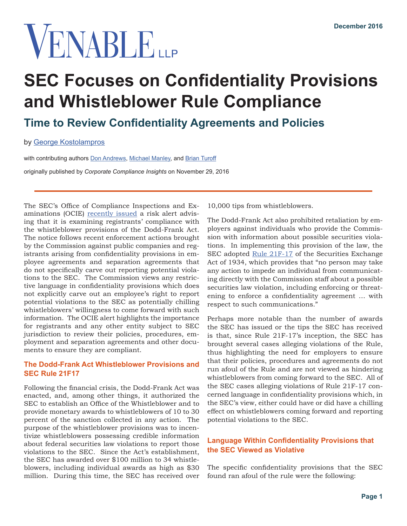# VENABLE

## **SEC Focuses on Confidentiality Provisions and Whistleblower Rule Compliance**

### **Time to Review Confidentiality Agreements and Policies**

by [George Kostolampros](https://www.venable.com/george-kostolampros/)

with contributing authors [Don Andrews,](https://www.venable.com/don-andrews/) [Michael Manley](https://www.venable.com/michael-r-manley/), and [Brian Turoff](https://www.venable.com/brian-j-turoff/)

originally published by *Corporate Compliance Insights* on November 29, 2016

The SEC's Office of Compliance Inspections and Examinations (OCIE) [recently issued](https://www.sec.gov/ocie/announcement/ocie-2016-risk-alert-examining-whistleblower-rule-compliance.pdf) a risk alert advising that it is examining registrants' compliance with the whistleblower provisions of the Dodd-Frank Act. The notice follows recent enforcement actions brought by the Commission against public companies and registrants arising from confidentiality provisions in employee agreements and separation agreements that do not specifically carve out reporting potential violations to the SEC. The Commission views any restrictive language in confidentiality provisions which does not explicitly carve out an employee's right to report potential violations to the SEC as potentially chilling whistleblowers' willingness to come forward with such information. The OCIE alert highlights the importance for registrants and any other entity subject to SEC jurisdiction to review their policies, procedures, employment and separation agreements and other documents to ensure they are compliant.

#### **The Dodd-Frank Act Whistleblower Provisions and SEC Rule 21F17**

Following the financial crisis, the Dodd-Frank Act was enacted, and, among other things, it authorized the SEC to establish an Office of the Whistleblower and to provide monetary awards to whistleblowers of 10 to 30 percent of the sanction collected in any action. The purpose of the whistleblower provisions was to incentivize whistleblowers possessing credible information about federal securities law violations to report those violations to the SEC. Since the Act's establishment, the SEC has awarded over \$100 million to 34 whistleblowers, including individual awards as high as \$30 million. During this time, the SEC has received over

10,000 tips from whistleblowers.

The Dodd-Frank Act also prohibited retaliation by employers against individuals who provide the Commission with information about possible securities violations. In implementing this provision of the law, the SEC adopted [Rule 21F-17](https://www.sec.gov/about/offices/owb/reg-21f.pdf) of the Securities Exchange Act of 1934, which provides that "no person may take any action to impede an individual from communicating directly with the Commission staff about a possible securities law violation, including enforcing or threatening to enforce a confidentiality agreement … with respect to such communications."

Perhaps more notable than the number of awards the SEC has issued or the tips the SEC has received is that, since Rule 21F-17's inception, the SEC has brought several cases alleging violations of the Rule, thus highlighting the need for employers to ensure that their policies, procedures and agreements do not run afoul of the Rule and are not viewed as hindering whistleblowers from coming forward to the SEC. All of the SEC cases alleging violations of Rule 21F-17 concerned language in confidentiality provisions which, in the SEC's view, either could have or did have a chilling effect on whistleblowers coming forward and reporting potential violations to the SEC.

#### **Language Within Confidentiality Provisions that the SEC Viewed as Violative**

The specific confidentiality provisions that the SEC found ran afoul of the rule were the following: